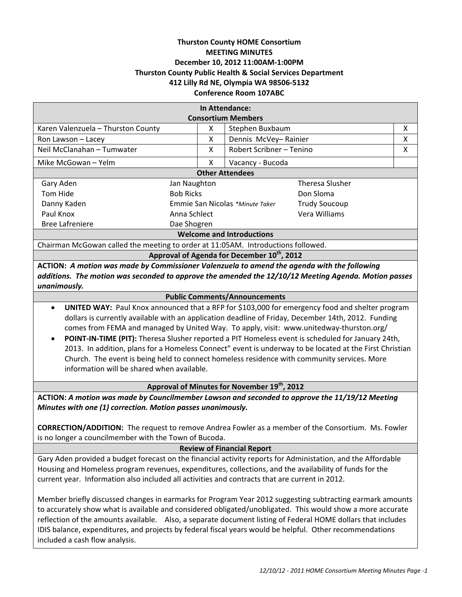# **Thurston County HOME Consortium MEETING MINUTES December 10, 2012 11:00AM‐1:00PM Thurston County Public Health & Social Services Department 412 Lilly Rd NE, Olympia WA 98506‐5132 Conference Room 107ABC**

| In Attendance:                                                                                                                                                                                                                                                                                                                                                                                                                                                                                                                                                                                                                                                                           |                                 |                               |                        |   |
|------------------------------------------------------------------------------------------------------------------------------------------------------------------------------------------------------------------------------------------------------------------------------------------------------------------------------------------------------------------------------------------------------------------------------------------------------------------------------------------------------------------------------------------------------------------------------------------------------------------------------------------------------------------------------------------|---------------------------------|-------------------------------|------------------------|---|
| <b>Consortium Members</b>                                                                                                                                                                                                                                                                                                                                                                                                                                                                                                                                                                                                                                                                |                                 |                               |                        |   |
| Karen Valenzuela - Thurston County<br>X                                                                                                                                                                                                                                                                                                                                                                                                                                                                                                                                                                                                                                                  |                                 | Stephen Buxbaum               |                        | X |
| X<br>Ron Lawson - Lacey                                                                                                                                                                                                                                                                                                                                                                                                                                                                                                                                                                                                                                                                  |                                 | X<br>Dennis McVey-Rainier     |                        |   |
| Neil McClanahan - Tumwater<br>X                                                                                                                                                                                                                                                                                                                                                                                                                                                                                                                                                                                                                                                          |                                 | Robert Scribner - Tenino<br>X |                        |   |
| Mike McGowan - Yelm<br>X                                                                                                                                                                                                                                                                                                                                                                                                                                                                                                                                                                                                                                                                 |                                 | Vacancy - Bucoda              |                        |   |
| <b>Other Attendees</b>                                                                                                                                                                                                                                                                                                                                                                                                                                                                                                                                                                                                                                                                   |                                 |                               |                        |   |
| Gary Aden                                                                                                                                                                                                                                                                                                                                                                                                                                                                                                                                                                                                                                                                                | Jan Naughton                    |                               | <b>Theresa Slusher</b> |   |
| Tom Hide                                                                                                                                                                                                                                                                                                                                                                                                                                                                                                                                                                                                                                                                                 | <b>Bob Ricks</b>                |                               | Don Sloma              |   |
| Danny Kaden                                                                                                                                                                                                                                                                                                                                                                                                                                                                                                                                                                                                                                                                              | Emmie San Nicolas *Minute Taker |                               | <b>Trudy Soucoup</b>   |   |
| Paul Knox                                                                                                                                                                                                                                                                                                                                                                                                                                                                                                                                                                                                                                                                                | Anna Schlect                    |                               | Vera Williams          |   |
| <b>Bree Lafreniere</b><br>Dae Shogren                                                                                                                                                                                                                                                                                                                                                                                                                                                                                                                                                                                                                                                    |                                 |                               |                        |   |
| <b>Welcome and Introductions</b>                                                                                                                                                                                                                                                                                                                                                                                                                                                                                                                                                                                                                                                         |                                 |                               |                        |   |
| Chairman McGowan called the meeting to order at 11:05AM. Introductions followed.                                                                                                                                                                                                                                                                                                                                                                                                                                                                                                                                                                                                         |                                 |                               |                        |   |
| Approval of Agenda for December 10 <sup>th</sup> , 2012                                                                                                                                                                                                                                                                                                                                                                                                                                                                                                                                                                                                                                  |                                 |                               |                        |   |
| ACTION: A motion was made by Commissioner Valenzuela to amend the agenda with the following                                                                                                                                                                                                                                                                                                                                                                                                                                                                                                                                                                                              |                                 |                               |                        |   |
| additions. The motion was seconded to approve the amended the 12/10/12 Meeting Agenda. Motion passes                                                                                                                                                                                                                                                                                                                                                                                                                                                                                                                                                                                     |                                 |                               |                        |   |
| unanimously.                                                                                                                                                                                                                                                                                                                                                                                                                                                                                                                                                                                                                                                                             |                                 |                               |                        |   |
| <b>Public Comments/Announcements</b>                                                                                                                                                                                                                                                                                                                                                                                                                                                                                                                                                                                                                                                     |                                 |                               |                        |   |
| UNITED WAY: Paul Knox announced that a RFP for \$103,000 for emergency food and shelter program<br>$\bullet$<br>dollars is currently available with an application deadline of Friday, December 14th, 2012. Funding<br>comes from FEMA and managed by United Way. To apply, visit: www.unitedway-thurston.org/<br>POINT-IN-TIME (PIT): Theresa Slusher reported a PIT Homeless event is scheduled for January 24th,<br>$\bullet$<br>2013. In addition, plans for a Homeless Connect" event is underway to be located at the First Christian<br>Church. The event is being held to connect homeless residence with community services. More<br>information will be shared when available. |                                 |                               |                        |   |

# **Approval of Minutes for November 19th, 2012**

**ACTION:** *A motion was made by Councilmember Lawson and seconded to approve the 11/19/12 Meeting Minutes with one (1) correction. Motion passes unanimously.*

**CORRECTION/ADDITION:** The request to remove Andrea Fowler as a member of the Consortium. Ms. Fowler is no longer a councilmember with the Town of Bucoda.

### **Review of Financial Report**

Gary Aden provided a budget forecast on the financial activity reports for Administation, and the Affordable Housing and Homeless program revenues, expenditures, collections, and the availability of funds for the current year. Information also included all activities and contracts that are current in 2012.

Member briefly discussed changes in earmarks for Program Year 2012 suggesting subtracting earmark amounts to accurately show what is available and considered obligated/unobligated. This would show a more accurate reflection of the amounts available. Also, a separate document listing of Federal HOME dollars that includes IDIS balance, expenditures, and projects by federal fiscal years would be helpful. Other recommendations included a cash flow analysis.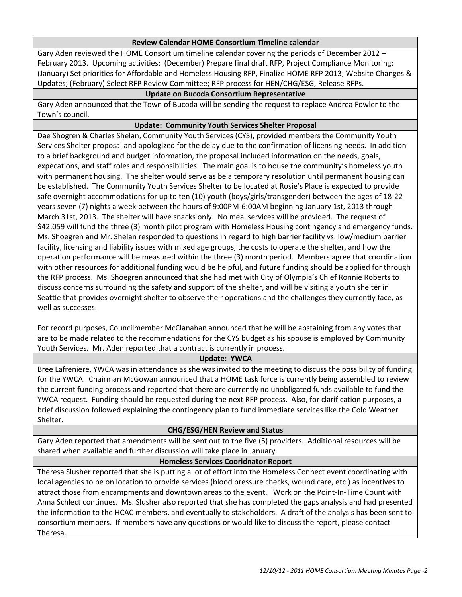## **Review Calendar HOME Consortium Timeline calendar**

Gary Aden reviewed the HOME Consortium timeline calendar covering the periods of December 2012 – February 2013. Upcoming activities: (December) Prepare final draft RFP, Project Compliance Monitoring; (January) Set priorities for Affordable and Homeless Housing RFP, Finalize HOME RFP 2013; Website Changes & Updates; (February) Select RFP Review Committee; RFP process for HEN/CHG/ESG, Release RFPs.

# **Update on Bucoda Consortium Representative**

Gary Aden announced that the Town of Bucoda will be sending the request to replace Andrea Fowler to the Town's council.

## **Update: Community Youth Services Shelter Proposal**

Dae Shogren & Charles Shelan, Community Youth Services (CYS), provided members the Community Youth Services Shelter proposal and apologized for the delay due to the confirmation of licensing needs. In addition to a brief background and budget information, the proposal included information on the needs, goals, expecations, and staff roles and responsibilities. The main goal is to house the community's homeless youth with permanent housing. The shelter would serve as be a temporary resolution until permanent housing can be established. The Community Youth Services Shelter to be located at Rosie's Place is expected to provide safe overnight accommodations for up to ten (10) youth (boys/girls/transgender) between the ages of 18‐22 years seven (7) nights a week between the hours of 9:00PM‐6:00AM beginning January 1st, 2013 through March 31st, 2013. The shelter will have snacks only. No meal services will be provided. The request of \$42,059 will fund the three (3) month pilot program with Homeless Housing contingency and emergency funds. Ms. Shoegren and Mr. Shelan responded to questions in regard to high barrier facility vs. low/medium barrier facility, licensing and liability issues with mixed age groups, the costs to operate the shelter, and how the operation performance will be measured within the three (3) month period. Members agree that coordination with other resources for additional funding would be helpful, and future funding should be applied for through the RFP process. Ms. Shoegren announced that she had met with City of Olympia's Chief Ronnie Roberts to discuss concerns surrounding the safety and support of the shelter, and will be visiting a youth shelter in Seattle that provides overnight shelter to observe their operations and the challenges they currently face, as well as successes.

For record purposes, Councilmember McClanahan announced that he will be abstaining from any votes that are to be made related to the recommendations for the CYS budget as his spouse is employed by Community Youth Services. Mr. Aden reported that a contract is currently in process.

#### **Update: YWCA**

Bree Lafreniere, YWCA was in attendance as she was invited to the meeting to discuss the possibility of funding for the YWCA. Chairman McGowan announced that a HOME task force is currently being assembled to review the current funding process and reported that there are currently no unobligated funds available to fund the YWCA request. Funding should be requested during the next RFP process. Also, for clarification purposes, a brief discussion followed explaining the contingency plan to fund immediate services like the Cold Weather Shelter.

# **CHG/ESG/HEN Review and Status**

Gary Aden reported that amendments will be sent out to the five (5) providers. Additional resources will be shared when available and further discussion will take place in January.

#### **Homeless Services Cooridnator Report**

Theresa Slusher reported that she is putting a lot of effort into the Homeless Connect event coordinating with local agencies to be on location to provide services (blood pressure checks, wound care, etc.) as incentives to attract those from encampments and downtown areas to the event. Work on the Point‐In‐Time Count with Anna Schlect continues. Ms. Slusher also reported that she has completed the gaps analysis and had presented the information to the HCAC members, and eventually to stakeholders. A draft of the analysis has been sent to consortium members. If members have any questions or would like to discuss the report, please contact Theresa.